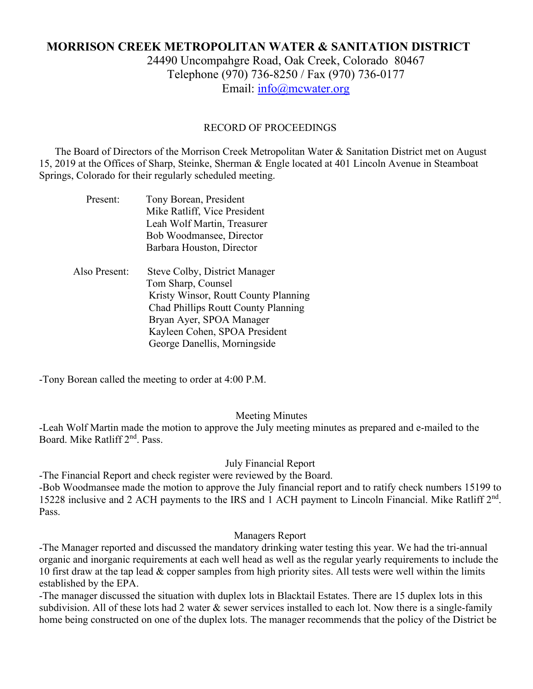# **MORRISON CREEK METROPOLITAN WATER & SANITATION DISTRICT** 24490 Uncompahgre Road, Oak Creek, Colorado 80467 Telephone (970) 736-8250 / Fax (970) 736-0177

Email: [info@mcwater.org](mailto:info@mcwater.org)

## RECORD OF PROCEEDINGS

 The Board of Directors of the Morrison Creek Metropolitan Water & Sanitation District met on August 15, 2019 at the Offices of Sharp, Steinke, Sherman & Engle located at 401 Lincoln Avenue in Steamboat Springs, Colorado for their regularly scheduled meeting.

| Present:      | Tony Borean, President<br>Mike Ratliff, Vice President<br>Leah Wolf Martin, Treasurer                                                                                                                                                  |
|---------------|----------------------------------------------------------------------------------------------------------------------------------------------------------------------------------------------------------------------------------------|
|               | Bob Woodmansee, Director<br>Barbara Houston, Director                                                                                                                                                                                  |
| Also Present: | <b>Steve Colby, District Manager</b><br>Tom Sharp, Counsel<br>Kristy Winsor, Routt County Planning<br>Chad Phillips Routt County Planning<br>Bryan Ayer, SPOA Manager<br>Kayleen Cohen, SPOA President<br>George Danellis, Morningside |

-Tony Borean called the meeting to order at 4:00 P.M.

#### Meeting Minutes

-Leah Wolf Martin made the motion to approve the July meeting minutes as prepared and e-mailed to the Board. Mike Ratliff 2nd. Pass.

# July Financial Report

-The Financial Report and check register were reviewed by the Board.

-Bob Woodmansee made the motion to approve the July financial report and to ratify check numbers 15199 to 15228 inclusive and 2 ACH payments to the IRS and 1 ACH payment to Lincoln Financial. Mike Ratliff 2nd. Pass.

#### Managers Report

-The Manager reported and discussed the mandatory drinking water testing this year. We had the tri-annual organic and inorganic requirements at each well head as well as the regular yearly requirements to include the 10 first draw at the tap lead & copper samples from high priority sites. All tests were well within the limits established by the EPA.

-The manager discussed the situation with duplex lots in Blacktail Estates. There are 15 duplex lots in this subdivision. All of these lots had 2 water & sewer services installed to each lot. Now there is a single-family home being constructed on one of the duplex lots. The manager recommends that the policy of the District be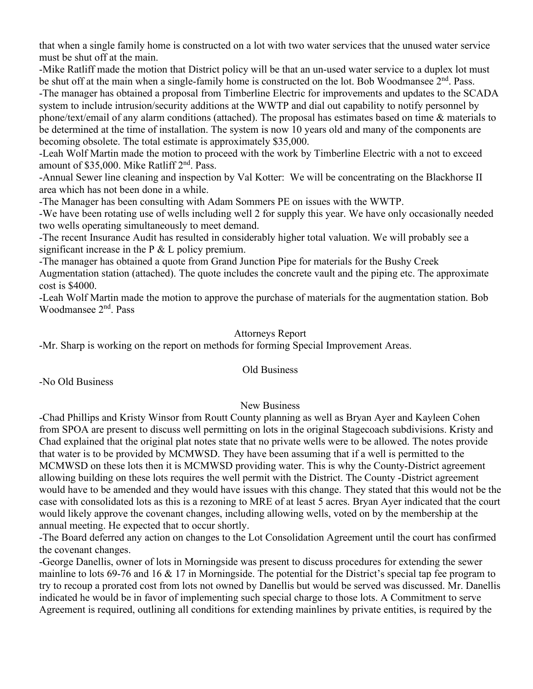that when a single family home is constructed on a lot with two water services that the unused water service must be shut off at the main.

-Mike Ratliff made the motion that District policy will be that an un-used water service to a duplex lot must be shut off at the main when a single-family home is constructed on the lot. Bob Woodmansee 2<sup>nd</sup>. Pass. -The manager has obtained a proposal from Timberline Electric for improvements and updates to the SCADA system to include intrusion/security additions at the WWTP and dial out capability to notify personnel by phone/text/email of any alarm conditions (attached). The proposal has estimates based on time & materials to be determined at the time of installation. The system is now 10 years old and many of the components are becoming obsolete. The total estimate is approximately \$35,000.

-Leah Wolf Martin made the motion to proceed with the work by Timberline Electric with a not to exceed amount of \$35,000. Mike Ratliff 2nd. Pass.

-Annual Sewer line cleaning and inspection by Val Kotter: We will be concentrating on the Blackhorse II area which has not been done in a while.

-The Manager has been consulting with Adam Sommers PE on issues with the WWTP.

-We have been rotating use of wells including well 2 for supply this year. We have only occasionally needed two wells operating simultaneously to meet demand.

-The recent Insurance Audit has resulted in considerably higher total valuation. We will probably see a significant increase in the  $P \& L$  policy premium.

-The manager has obtained a quote from Grand Junction Pipe for materials for the Bushy Creek Augmentation station (attached). The quote includes the concrete vault and the piping etc. The approximate cost is \$4000.

-Leah Wolf Martin made the motion to approve the purchase of materials for the augmentation station. Bob Woodmansee 2nd. Pass

## Attorneys Report

-Mr. Sharp is working on the report on methods for forming Special Improvement Areas.

#### Old Business

-No Old Business

# New Business

-Chad Phillips and Kristy Winsor from Routt County planning as well as Bryan Ayer and Kayleen Cohen from SPOA are present to discuss well permitting on lots in the original Stagecoach subdivisions. Kristy and Chad explained that the original plat notes state that no private wells were to be allowed. The notes provide that water is to be provided by MCMWSD. They have been assuming that if a well is permitted to the MCMWSD on these lots then it is MCMWSD providing water. This is why the County-District agreement allowing building on these lots requires the well permit with the District. The County -District agreement would have to be amended and they would have issues with this change. They stated that this would not be the case with consolidated lots as this is a rezoning to MRE of at least 5 acres. Bryan Ayer indicated that the court would likely approve the covenant changes, including allowing wells, voted on by the membership at the annual meeting. He expected that to occur shortly.

-The Board deferred any action on changes to the Lot Consolidation Agreement until the court has confirmed the covenant changes.

-George Danellis, owner of lots in Morningside was present to discuss procedures for extending the sewer mainline to lots 69-76 and 16 & 17 in Morningside. The potential for the District's special tap fee program to try to recoup a prorated cost from lots not owned by Danellis but would be served was discussed. Mr. Danellis indicated he would be in favor of implementing such special charge to those lots. A Commitment to serve Agreement is required, outlining all conditions for extending mainlines by private entities, is required by the